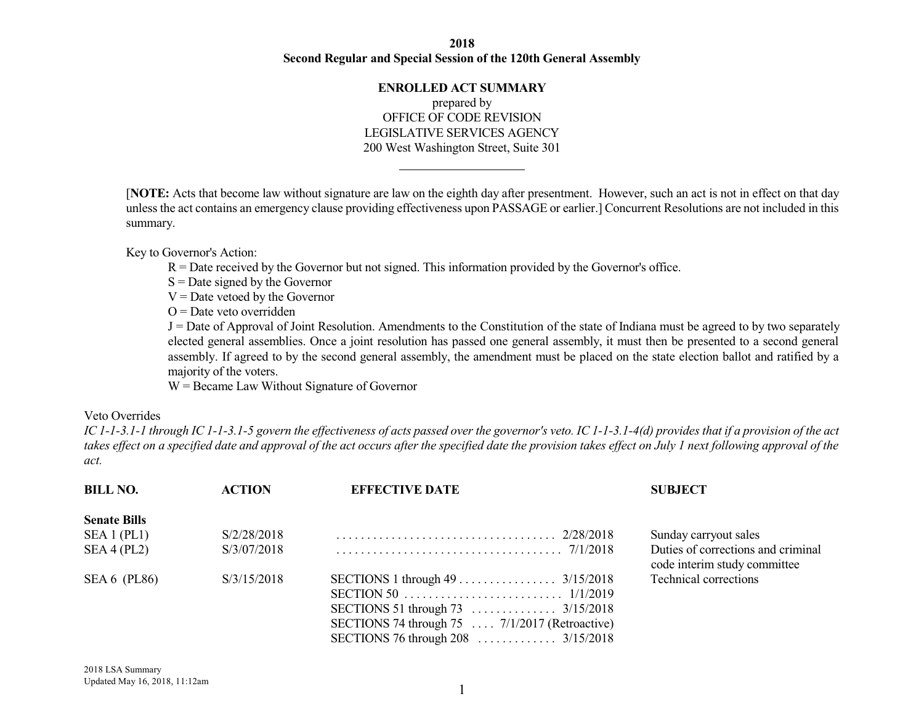## **2018 Second Regular and Special Session of the 120th General Assembly**

## **ENROLLED ACT SUMMARY** prepared by OFFICE OF CODE REVISION LEGISLATIVE SERVICES AGENCY 200 West Washington Street, Suite 301

[**NOTE:** Acts that become law without signature are law on the eighth day after presentment. However, such an act is not in effect on that day unless the act contains an emergency clause providing effectiveness upon PASSAGE or earlier.] Concurrent Resolutions are not included in this summary.

Key to Governor's Action:

R = Date received by the Governor but not signed. This information provided by the Governor's office.

 $S =$ Date signed by the Governor

 $V =$ Date vetoed by the Governor

 $O =$ Date veto overridden

J = Date of Approval of Joint Resolution. Amendments to the Constitution of the state of Indiana must be agreed to by two separately elected general assemblies. Once a joint resolution has passed one general assembly, it must then be presented to a second general assembly. If agreed to by the second general assembly, the amendment must be placed on the state election ballot and ratified by a majority of the voters.

W = Became Law Without Signature of Governor

## Veto Overrides

IC 1-1-3.1-1 through IC 1-1-3.1-5 govern the effectiveness of acts passed over the governor's veto. IC 1-1-3.1-4(d) provides that if a provision of the act takes effect on a specified date and approval of the act occurs after the specified date the provision takes effect on July 1 next following approval of the *act.*

| <b>BILL NO.</b>     | <b>ACTION</b> | <b>EFFECTIVE DATE</b>                                  | <b>SUBJECT</b>                                                     |
|---------------------|---------------|--------------------------------------------------------|--------------------------------------------------------------------|
| <b>Senate Bills</b> |               |                                                        |                                                                    |
| SEA 1 (PL1)         | S/2/28/2018   |                                                        | Sunday carryout sales                                              |
| SEA 4 (PL2)         | S/3/07/2018   |                                                        | Duties of corrections and criminal<br>code interim study committee |
| SEA $6$ (PL86)      | S/3/15/2018   | SECTIONS 74 through 75 $\ldots$ 7/1/2017 (Retroactive) | Technical corrections                                              |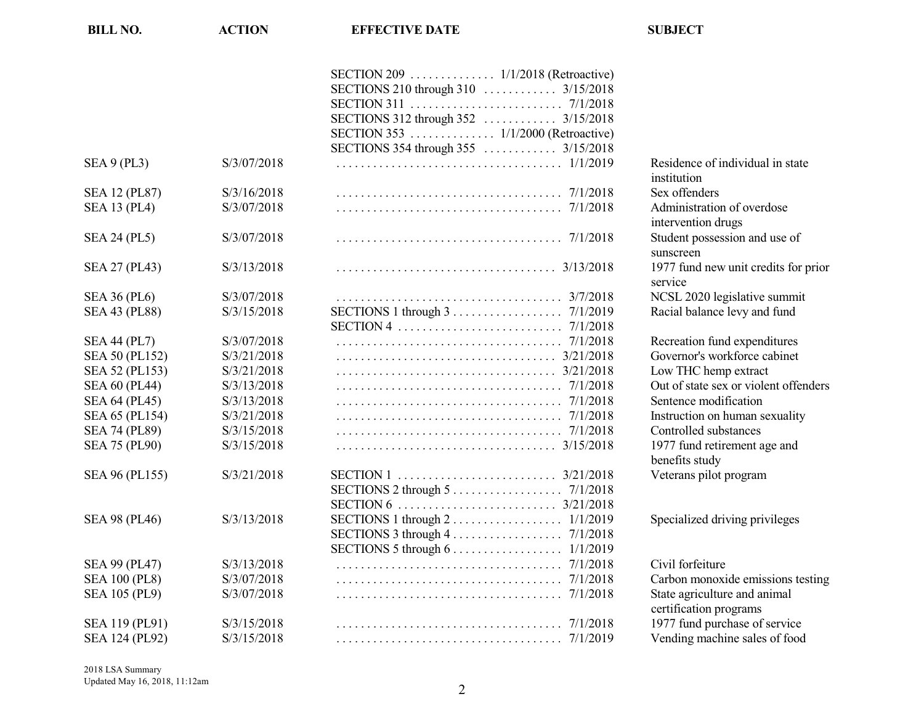|                       |             | SECTIONS 354 through 355  3/15/2018                                                     |                      |
|-----------------------|-------------|-----------------------------------------------------------------------------------------|----------------------|
| SEA 9 (PL3)           | S/3/07/2018 |                                                                                         | Residence of in      |
|                       |             |                                                                                         | institution          |
| <b>SEA 12 (PL87)</b>  | S/3/16/2018 |                                                                                         | Sex offenders        |
| <b>SEA 13 (PL4)</b>   | S/3/07/2018 |                                                                                         | Administration       |
|                       |             |                                                                                         | intervention dr      |
| <b>SEA 24 (PL5)</b>   | S/3/07/2018 |                                                                                         | Student posses       |
|                       |             |                                                                                         | sunscreen            |
| SEA 27 (PL43)         | S/3/13/2018 |                                                                                         | 1977 fund new        |
|                       |             |                                                                                         | service              |
| <b>SEA 36 (PL6)</b>   | S/3/07/2018 |                                                                                         | <b>NCSL 2020 les</b> |
| <b>SEA 43 (PL88)</b>  | S/3/15/2018 | SECTIONS 1 through $3 \ldots \ldots \ldots \ldots \ldots \ldots \ldots \ldots$ 7/1/2019 | Racial balance       |
|                       |             |                                                                                         |                      |
| <b>SEA 44 (PL7)</b>   | S/3/07/2018 |                                                                                         | Recreation fun       |
| <b>SEA 50 (PL152)</b> | S/3/21/2018 |                                                                                         | Governor's wor       |
| SEA 52 (PL153)        | S/3/21/2018 |                                                                                         | Low THC hem          |
| <b>SEA 60 (PL44)</b>  | S/3/13/2018 |                                                                                         | Out of state sex     |
| <b>SEA 64 (PL45)</b>  | S/3/13/2018 |                                                                                         | Sentence modi        |
| SEA 65 (PL154)        | S/3/21/2018 |                                                                                         | Instruction on l     |
| <b>SEA 74 (PL89)</b>  | S/3/15/2018 |                                                                                         | Controlled sub       |
| <b>SEA 75 (PL90)</b>  | S/3/15/2018 |                                                                                         | 1977 fund retin      |
|                       |             |                                                                                         | benefits study       |
| SEA 96 (PL155)        | S/3/21/2018 |                                                                                         | Veterans pilot       |
|                       |             |                                                                                         |                      |
|                       |             |                                                                                         |                      |
| <b>SEA 98 (PL46)</b>  | S/3/13/2018 |                                                                                         | Specialized dri      |
|                       |             | SECTIONS 3 through $4 \ldots \ldots \ldots \ldots \ldots \ldots$ 7/1/2018               |                      |
|                       |             | SECTIONS 5 through $6 \ldots \ldots \ldots \ldots \ldots \ldots 1/1/2019$               |                      |
| SEA 99 (PL47)         | S/3/13/2018 |                                                                                         | Civil forfeiture     |
| <b>SEA 100 (PL8)</b>  | S/3/07/2018 | 7/1/2018                                                                                | Carbon monox         |
| SEA 105 (PL9)         | S/3/07/2018 | 7/1/2018                                                                                | State agricultur     |
|                       |             |                                                                                         | certification pr     |
| SEA 119 (PL91)        | S/3/15/2018 |                                                                                         | 1977 fund purc       |
| SEA 124 (PL92)        | S/3/15/2018 |                                                                                         | Vending mach         |

**BILL NO. ACTION EFFECTIVE DATE SUBJECT**

Residence of individual in state institution Administration of overdose intervention drugs Student possession and use of sunscreen 1977 fund new unit credits for prior service NCSL 2020 legislative summit Racial balance levy and fund Recreation fund expenditures Governor's workforce cabinet Low THC hemp extract Out of state sex or violent offenders Sentence modification Instruction on human sexuality Controlled substances 1977 fund retirement age and benefits study Veterans pilot program

Specialized driving privileges

Carbon monoxide emissions testing State agriculture and animal certification programs 1977 fund purchase of service Vending machine sales of food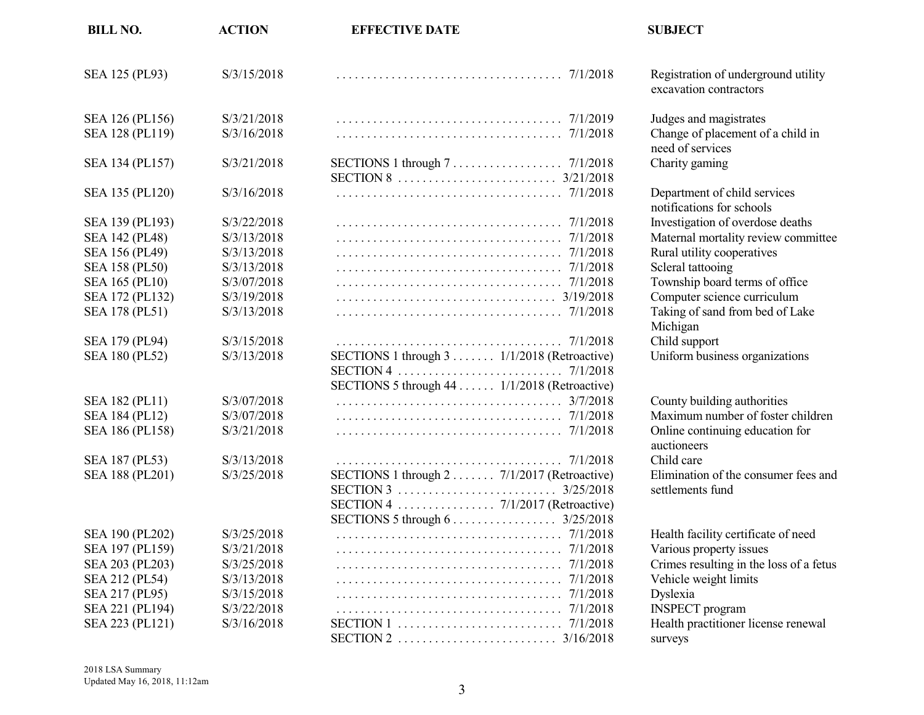| <b>BILL NO.</b>       | <b>ACTION</b> | <b>EFFECTIVE DATE</b>                                                                        | <b>SUBJECT</b>            |
|-----------------------|---------------|----------------------------------------------------------------------------------------------|---------------------------|
| SEA 125 (PL93)        | S/3/15/2018   |                                                                                              | Registratio<br>excavation |
| SEA 126 (PL156)       | S/3/21/2018   |                                                                                              | Judges and                |
| SEA 128 (PL119)       | S/3/16/2018   |                                                                                              | Change of<br>need of set  |
| SEA 134 (PL157)       | S/3/21/2018   | 3/21/2018                                                                                    | Charity ga                |
| SEA 135 (PL120)       | S/3/16/2018   | 7/1/2018                                                                                     | Departmer<br>notificatio  |
| SEA 139 (PL193)       | S/3/22/2018   | 7/1/2018                                                                                     | Investigati               |
| SEA 142 (PL48)        | S/3/13/2018   | 7/1/2018                                                                                     | Maternal r                |
| SEA 156 (PL49)        | S/3/13/2018   | 7/1/2018                                                                                     | Rural utili               |
| <b>SEA 158 (PL50)</b> | S/3/13/2018   | 7/1/2018                                                                                     | Scleral tatt              |
| <b>SEA 165 (PL10)</b> | S/3/07/2018   | 7/1/2018                                                                                     | Township                  |
| SEA 172 (PL132)       | S/3/19/2018   |                                                                                              | Computer                  |
| SEA 178 (PL51)        | S/3/13/2018   |                                                                                              | Taking of<br>Michigan     |
| SEA 179 (PL94)        | S/3/15/2018   |                                                                                              | Child supp                |
| SEA 180 (PL52)        | S/3/13/2018   | SECTIONS 1 through 3 1/1/2018 (Retroactive)<br>SECTIONS 5 through 44  1/1/2018 (Retroactive) | Uniform b                 |
| SEA 182 (PL11)        | S/3/07/2018   | 3/7/2018                                                                                     | County bu                 |
| SEA 184 (PL12)        | S/3/07/2018   | 7/1/2018                                                                                     | Maximum                   |
| SEA 186 (PL158)       | S/3/21/2018   |                                                                                              | Online cor<br>auctioneer  |
| SEA 187 (PL53)        | S/3/13/2018   |                                                                                              | Child care                |
| SEA 188 (PL201)       | S/3/25/2018   | SECTIONS 1 through $2 \ldots \ldots$ 7/1/2017 (Retroactive)                                  | Eliminatio<br>settlement  |
| SEA 190 (PL202)       | S/3/25/2018   | SECTIONS 5 through $6 \ldots \ldots \ldots \ldots \ldots \ldots$ 3/25/2018                   | Health fac                |
| SEA 197 (PL159)       | S/3/21/2018   | 7/1/2018                                                                                     | Various pr                |
| SEA 203 (PL203)       | S/3/25/2018   | 7/1/2018                                                                                     | Crimes res                |
| SEA 212 (PL54)        | S/3/13/2018   |                                                                                              | Vehicle w                 |
| SEA 217 (PL95)        | S/3/15/2018   |                                                                                              | Dyslexia                  |
| SEA 221 (PL194)       | S/3/22/2018   | 7/1/2018                                                                                     | <b>INSPECT</b>            |
| SEA 223 (PL121)       | S/3/16/2018   | 7/1/2018                                                                                     | Health pra                |
|                       |               |                                                                                              | surveys                   |

Registration of underground utility excavation contractors

Judges and magistrates Change of placement of a child in need of services Charity gaming

Department of child services notifications for schools Investigation of overdose deaths Maternal mortality review committee Rural utility cooperatives Scleral tattooing Township board terms of office Computer science curriculum Taking of sand from bed of Lake Michigan Child support Uniform business organizations

County building authorities Maximum number of foster children Online continuing education for auctioneers Elimination of the consumer fees and settlements fund

Health facility certificate of need Various property issues Crimes resulting in the loss of a fetus Vehicle weight limits INSPECT program Health practitioner license renewal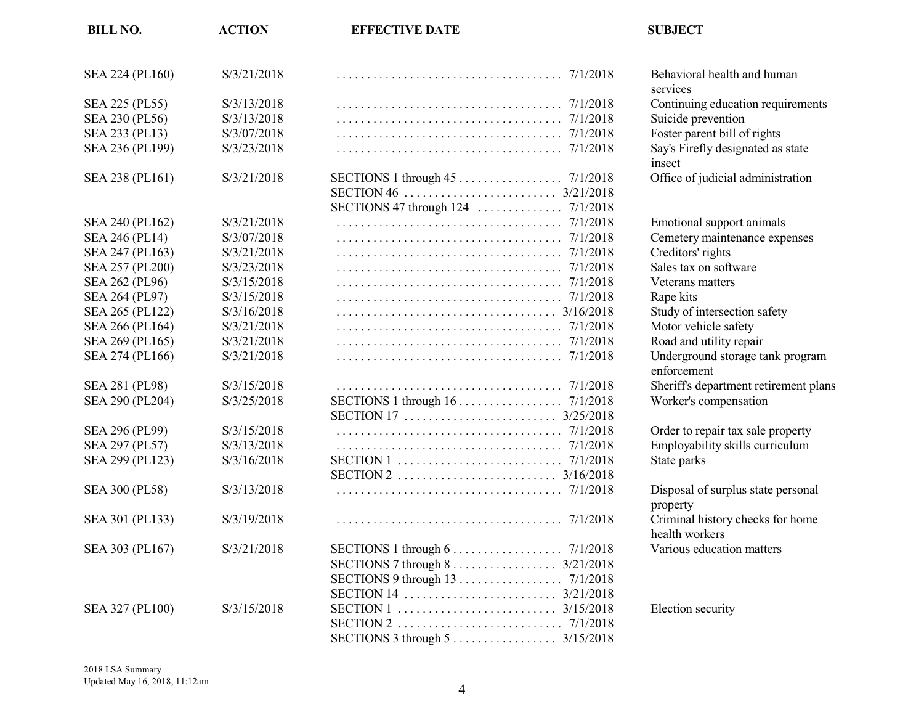| <b>BILL NO.</b>       | <b>ACTION</b> | <b>EFFECTIVE DATE</b>                                                      | <b>SUBJECT</b>            |
|-----------------------|---------------|----------------------------------------------------------------------------|---------------------------|
| SEA 224 (PL160)       | S/3/21/2018   |                                                                            | Behavioral<br>services    |
| SEA 225 (PL55)        | S/3/13/2018   |                                                                            | Continuing                |
| SEA 230 (PL56)        | S/3/13/2018   |                                                                            | Suicide pre               |
| SEA 233 (PL13)        | S/3/07/2018   |                                                                            | Foster pare               |
| SEA 236 (PL199)       | S/3/23/2018   |                                                                            | Say's Firefl              |
|                       |               |                                                                            | insect                    |
| SEA 238 (PL161)       | S/3/21/2018   |                                                                            | Office of ju              |
|                       |               |                                                                            |                           |
| SEA 240 (PL162)       | S/3/21/2018   | 7/1/2018                                                                   | Emotional                 |
| SEA 246 (PL14)        | S/3/07/2018   | 7/1/2018                                                                   | Cemetery r                |
| SEA 247 (PL163)       | S/3/21/2018   | 7/1/2018                                                                   | Creditors' r              |
| SEA 257 (PL200)       | S/3/23/2018   |                                                                            | Sales tax of              |
| SEA 262 (PL96)        | S/3/15/2018   |                                                                            | Veterans n                |
| SEA 264 (PL97)        | S/3/15/2018   |                                                                            | Rape kits                 |
| SEA 265 (PL122)       | S/3/16/2018   |                                                                            | Study of in               |
| SEA 266 (PL164)       | S/3/21/2018   |                                                                            | Motor vehi                |
| SEA 269 (PL165)       | S/3/21/2018   |                                                                            | Road and u                |
| SEA 274 (PL166)       | S/3/21/2018   | 7/1/2018                                                                   | Undergrou<br>enforcemen   |
| <b>SEA 281 (PL98)</b> | S/3/15/2018   |                                                                            | Sheriff's de              |
| SEA 290 (PL204)       | S/3/25/2018   | SECTIONS 1 through 16 7/1/2018                                             | Worker's co               |
|                       |               |                                                                            |                           |
| SEA 296 (PL99)        | S/3/15/2018   |                                                                            | Order to re               |
| SEA 297 (PL57)        | S/3/13/2018   |                                                                            | Employabi                 |
| SEA 299 (PL123)       | S/3/16/2018   |                                                                            | State parks               |
|                       |               |                                                                            |                           |
| SEA 300 (PL58)        | S/3/13/2018   |                                                                            | Disposal of               |
|                       |               |                                                                            | property                  |
| SEA 301 (PL133)       | S/3/19/2018   |                                                                            | Criminal h<br>health worl |
| SEA 303 (PL167)       | S/3/21/2018   | SECTIONS 1 through $6 \ldots \ldots \ldots \ldots \ldots \ldots$ 7/1/2018  | Various ed                |
|                       |               | SECTIONS 7 through $8 \ldots \ldots \ldots \ldots \ldots \ldots$ 3/21/2018 |                           |
|                       |               |                                                                            |                           |
|                       |               |                                                                            |                           |
| SEA 327 (PL100)       | S/3/15/2018   |                                                                            | Election se               |
|                       |               |                                                                            |                           |
|                       |               |                                                                            |                           |
|                       |               |                                                                            |                           |

Behavioral health and human services Continuing education requirements Suicide prevention Foster parent bill of rights Say's Firefly designated as state insect Office of judicial administration Emotional support animals Cemetery maintenance expenses Creditors' rights Sales tax on software Veterans matters

Study of intersection safety Motor vehicle safety Road and utility repair Underground storage tank program enforcement Sheriff's department retirement plans Worker's compensation Order to repair tax sale property Employability skills curriculum Disposal of surplus state personal property Criminal history checks for home health workers Various education matters

Election security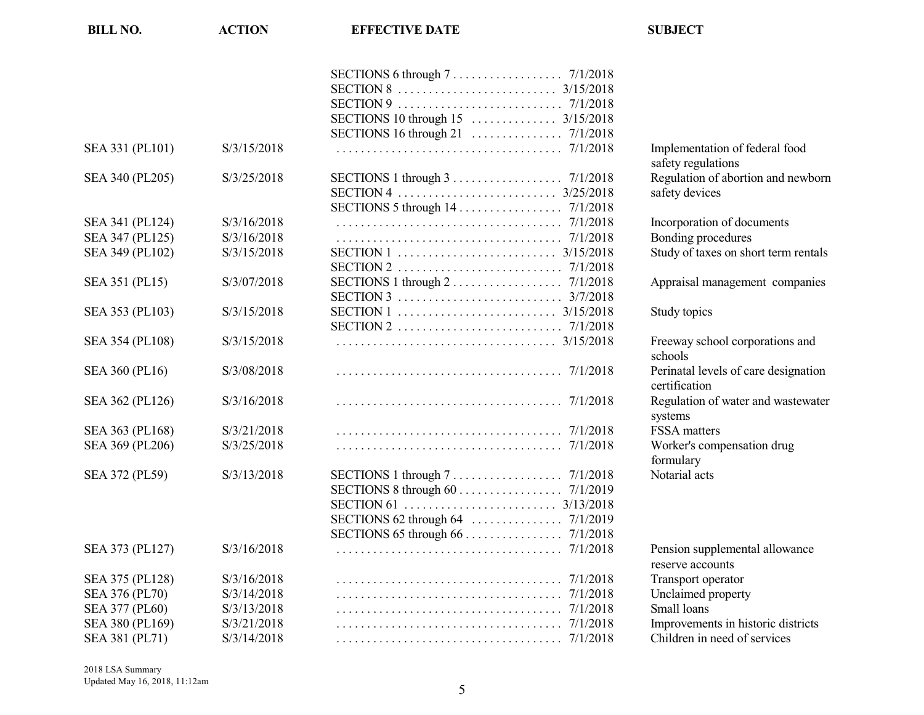| <b>BILL NO.</b> | <b>ACTION</b> | <b>EFFECTIVE DATE</b>                                                            | <b>SUBJECT</b>                                        |
|-----------------|---------------|----------------------------------------------------------------------------------|-------------------------------------------------------|
|                 |               |                                                                                  |                                                       |
|                 |               |                                                                                  |                                                       |
|                 |               |                                                                                  |                                                       |
|                 |               | SECTIONS 10 through 15  3/15/2018                                                |                                                       |
|                 |               |                                                                                  |                                                       |
| SEA 331 (PL101) | S/3/15/2018   |                                                                                  | Implementation of federal food<br>safety regulations  |
| SEA 340 (PL205) | S/3/25/2018   | SECTIONS 1 through $3 \ldots \ldots \ldots \ldots \ldots \ldots \ldots$ 7/1/2018 | Regulation of abortion and newborn                    |
|                 |               |                                                                                  | safety devices                                        |
|                 |               |                                                                                  |                                                       |
| SEA 341 (PL124) | S/3/16/2018   | 7/1/2018                                                                         | Incorporation of documents                            |
| SEA 347 (PL125) | S/3/16/2018   |                                                                                  | Bonding procedures                                    |
| SEA 349 (PL102) | S/3/15/2018   |                                                                                  | Study of taxes on short term rentals                  |
|                 |               |                                                                                  |                                                       |
| SEA 351 (PL15)  | S/3/07/2018   | SECTIONS 1 through $2 \ldots \ldots \ldots \ldots \ldots \ldots$ 7/1/2018        | Appraisal management companies                        |
|                 |               |                                                                                  |                                                       |
| SEA 353 (PL103) | S/3/15/2018   |                                                                                  | Study topics                                          |
|                 |               |                                                                                  |                                                       |
| SEA 354 (PL108) | S/3/15/2018   |                                                                                  | Freeway school corporations and<br>schools            |
| SEA 360 (PL16)  | S/3/08/2018   |                                                                                  | Perinatal levels of care designation<br>certification |
| SEA 362 (PL126) | S/3/16/2018   |                                                                                  | Regulation of water and wastewater<br>systems         |
| SEA 363 (PL168) | S/3/21/2018   |                                                                                  | FSSA matters                                          |
| SEA 369 (PL206) | S/3/25/2018   |                                                                                  | Worker's compensation drug                            |
|                 |               |                                                                                  | formulary                                             |
| SEA 372 (PL59)  | S/3/13/2018   |                                                                                  | Notarial acts                                         |
|                 |               |                                                                                  |                                                       |
|                 |               |                                                                                  |                                                       |
|                 |               |                                                                                  |                                                       |
|                 |               | SECTIONS 65 through 66 7/1/2018                                                  |                                                       |
| SEA 373 (PL127) | S/3/16/2018   |                                                                                  | Pension supplemental allowance<br>reserve accounts    |
| SEA 375 (PL128) | S/3/16/2018   |                                                                                  | Transport operator                                    |
| SEA 376 (PL70)  | S/3/14/2018   |                                                                                  | Unclaimed property                                    |
| SEA 377 (PL60)  | S/3/13/2018   |                                                                                  | Small loans                                           |
| SEA 380 (PL169) | S/3/21/2018   |                                                                                  | Improvements in historic districts                    |
| SEA 381 (PL71)  | S/3/14/2018   |                                                                                  | Children in need of services                          |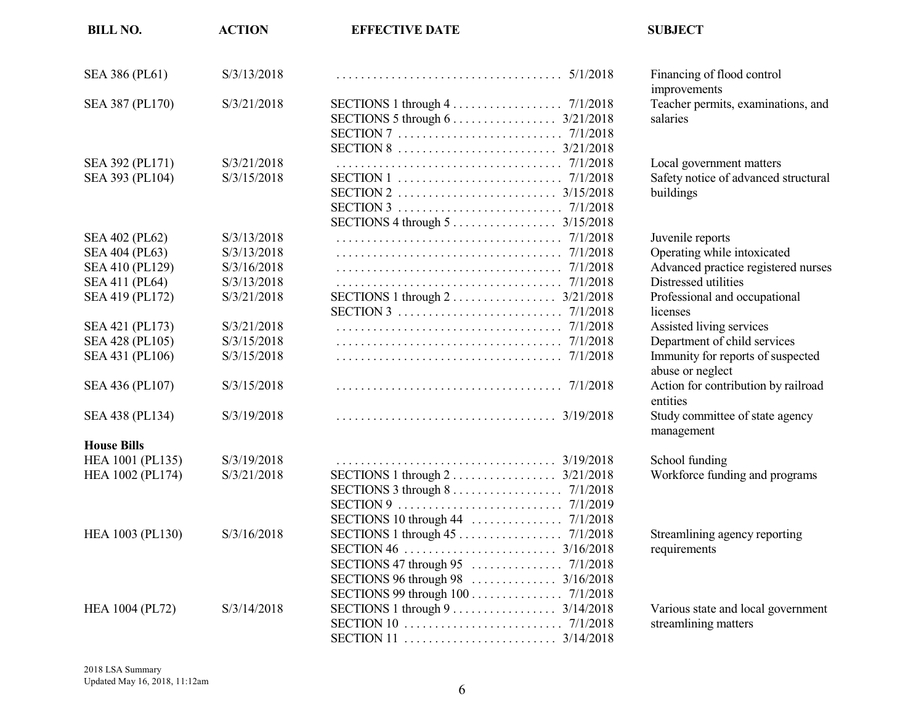| <b>BILL NO.</b>                                                       | <b>ACTION</b>                                            | <b>EFFECTIVE DATE</b>                                                                                          | <b>SUBJECT</b>                                                                                                 |
|-----------------------------------------------------------------------|----------------------------------------------------------|----------------------------------------------------------------------------------------------------------------|----------------------------------------------------------------------------------------------------------------|
| SEA 386 (PL61)                                                        | S/3/13/2018                                              |                                                                                                                | Financing of flood control<br>improvements                                                                     |
| SEA 387 (PL170)                                                       | S/3/21/2018                                              | SECTIONS 1 through $4 \ldots \ldots \ldots \ldots \ldots \ldots$ 7/1/2018                                      | Teacher permits, examinations, and<br>salaries                                                                 |
| SEA 392 (PL171)<br>SEA 393 (PL104)                                    | S/3/21/2018<br>S/3/15/2018                               |                                                                                                                | Local government matters<br>Safety notice of advanced structural<br>buildings                                  |
| SEA 402 (PL62)<br>SEA 404 (PL63)<br>SEA 410 (PL129)<br>SEA 411 (PL64) | S/3/13/2018<br>S/3/13/2018<br>S/3/16/2018<br>S/3/13/2018 | SECTIONS 4 through $5 \ldots \ldots \ldots \ldots \ldots \ldots$ 3/15/2018                                     | Juvenile reports<br>Operating while intoxicated<br>Advanced practice registered nurses<br>Distressed utilities |
| SEA 419 (PL172)                                                       | S/3/21/2018                                              |                                                                                                                | Professional and occupational<br>licenses                                                                      |
| SEA 421 (PL173)<br>SEA 428 (PL105)<br>SEA 431 (PL106)                 | S/3/21/2018<br>S/3/15/2018<br>S/3/15/2018                |                                                                                                                | Assisted living services<br>Department of child services<br>Immunity for reports of suspected                  |
| SEA 436 (PL107)                                                       | S/3/15/2018                                              |                                                                                                                | abuse or neglect<br>Action for contribution by railroad<br>entities                                            |
| SEA 438 (PL134)                                                       | S/3/19/2018                                              |                                                                                                                | Study committee of state agency<br>management                                                                  |
| <b>House Bills</b>                                                    |                                                          |                                                                                                                |                                                                                                                |
| HEA 1001 (PL135)<br>HEA 1002 (PL174)                                  | S/3/19/2018<br>S/3/21/2018                               | SECTIONS 3 through $8 \ldots \ldots \ldots \ldots \ldots \ldots \ldots$ 7/1/2018                               | School funding<br>Workforce funding and programs                                                               |
| HEA 1003 (PL130)                                                      | S/3/16/2018                                              | SECTIONS 96 through 98 $\ldots$ $\ldots$ $\ldots$ $\ldots$ $\frac{3}{16}{2018}$                                | Streamlining agency reporting<br>requirements                                                                  |
| <b>HEA 1004 (PL72)</b>                                                | S/3/14/2018                                              | SECTIONS 99 through 100 7/1/2018<br>SECTIONS 1 through $9 \ldots \ldots \ldots \ldots \ldots \ldots$ 3/14/2018 | Various state and local government<br>streamlining matters                                                     |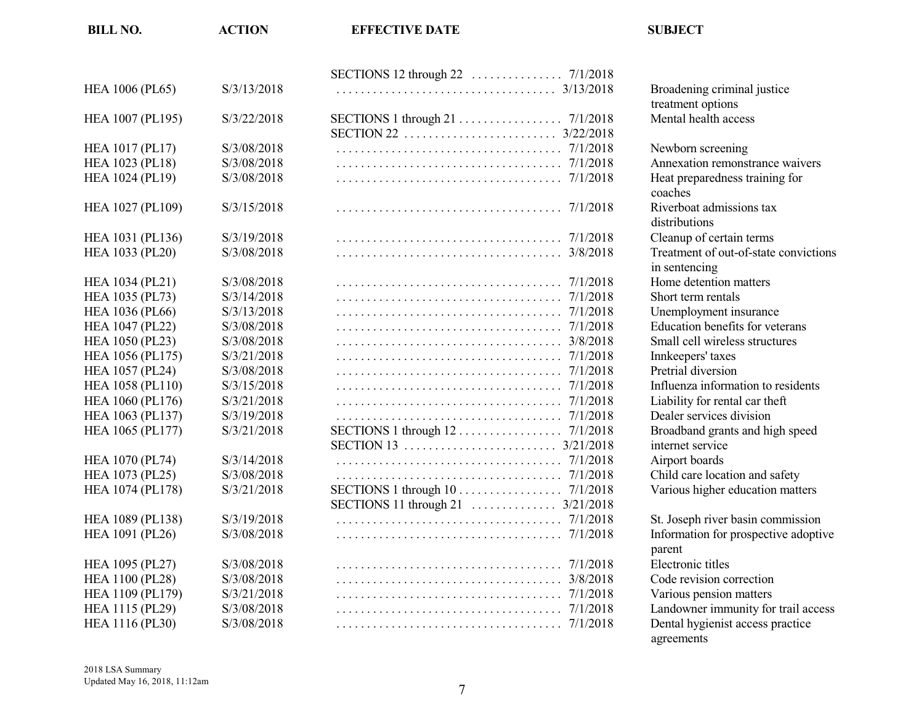| <b>HEA 1006 (PL65)</b> | S/3/13/2018 |                                     | Broadening crin            |
|------------------------|-------------|-------------------------------------|----------------------------|
|                        |             |                                     | treatment option           |
| HEA 1007 (PL195)       | S/3/22/2018 |                                     | Mental health a            |
|                        |             | 3/22/2018                           |                            |
| <b>HEA 1017 (PL17)</b> | S/3/08/2018 |                                     | Newborn screer             |
| HEA 1023 (PL18)        | S/3/08/2018 | 7/1/2018                            | Annexation rem             |
| <b>HEA 1024 (PL19)</b> | S/3/08/2018 | 7/1/2018                            | Heat preparedne<br>coaches |
| HEA 1027 (PL109)       | S/3/15/2018 | 7/1/2018                            | Riverboat admis            |
|                        |             |                                     | distributions              |
| HEA 1031 (PL136)       | S/3/19/2018 | 7/1/2018                            | Cleanup of certa           |
| HEA 1033 (PL20)        | S/3/08/2018 |                                     | Treatment of ou            |
|                        |             |                                     | in sentencing              |
| HEA 1034 (PL21)        | S/3/08/2018 |                                     | Home detention             |
| HEA 1035 (PL73)        | S/3/14/2018 |                                     | Short term renta           |
| <b>HEA 1036 (PL66)</b> | S/3/13/2018 |                                     | Unemployment               |
| <b>HEA 1047 (PL22)</b> | S/3/08/2018 | 7/1/2018                            | <b>Education</b> bene      |
| HEA 1050 (PL23)        | S/3/08/2018 |                                     | Small cell wirel           |
| HEA 1056 (PL175)       | S/3/21/2018 |                                     | Innkeepers' taxe           |
| HEA 1057 (PL24)        | S/3/08/2018 | 7/1/2018                            | Pretrial diversic          |
| HEA 1058 (PL110)       | S/3/15/2018 | 7/1/2018                            | Influenza inform           |
| HEA 1060 (PL176)       | S/3/21/2018 |                                     | Liability for ren          |
| HEA 1063 (PL137)       | S/3/19/2018 |                                     | Dealer services            |
| HEA 1065 (PL177)       | S/3/21/2018 | SECTIONS 1 through $12$<br>7/1/2018 | Broadband gran             |
|                        |             | 3/21/2018                           | internet service           |
| HEA 1070 (PL74)        | S/3/14/2018 |                                     | Airport boards             |
| HEA 1073 (PL25)        | S/3/08/2018 |                                     | Child care locat           |
| HEA 1074 (PL178)       | S/3/21/2018 | SECTIONS 1 through 10 7/1/2018      | Various higher             |
|                        |             |                                     |                            |
| HEA 1089 (PL138)       | S/3/19/2018 |                                     | St. Joseph river           |
| HEA 1091 (PL26)        | S/3/08/2018 |                                     | Information for            |
|                        |             |                                     | parent                     |
| HEA 1095 (PL27)        | S/3/08/2018 |                                     | Electronic titles          |
| <b>HEA 1100 (PL28)</b> | S/3/08/2018 |                                     | Code revision c            |
| HEA 1109 (PL179)       | S/3/21/2018 |                                     | Various pension            |
| HEA 1115 (PL29)        | S/3/08/2018 |                                     | Landowner imn              |
| <b>HEA 1116 (PL30)</b> | S/3/08/2018 |                                     | Dental hygienis            |

**BILL NO. ACTION EFFECTIVE DATE SUBJECT**

Broadening criminal justice treatment options Mental health access Newborn screening Annexation remonstrance waivers Heat preparedness training for coaches Riverboat admissions tax distributions Cleanup of certain terms Treatment of out-of-state convictions in sentencing Home detention matters Short term rentals Unemployment insurance Education benefits for veterans Small cell wireless structures Innkeepers' taxes Pretrial diversion Influenza information to residents Liability for rental car theft Dealer services division Broadband grants and high speed internet service Child care location and safety Various higher education matters St. Joseph river basin commission Information for prospective adoptive parent<br>Electronic titles

Code revision correction Various pension matters

agreements

Landowner immunity for trail access Dental hygienist access practice

2018 LSA Summary Updated May 16, 2018, 11:12am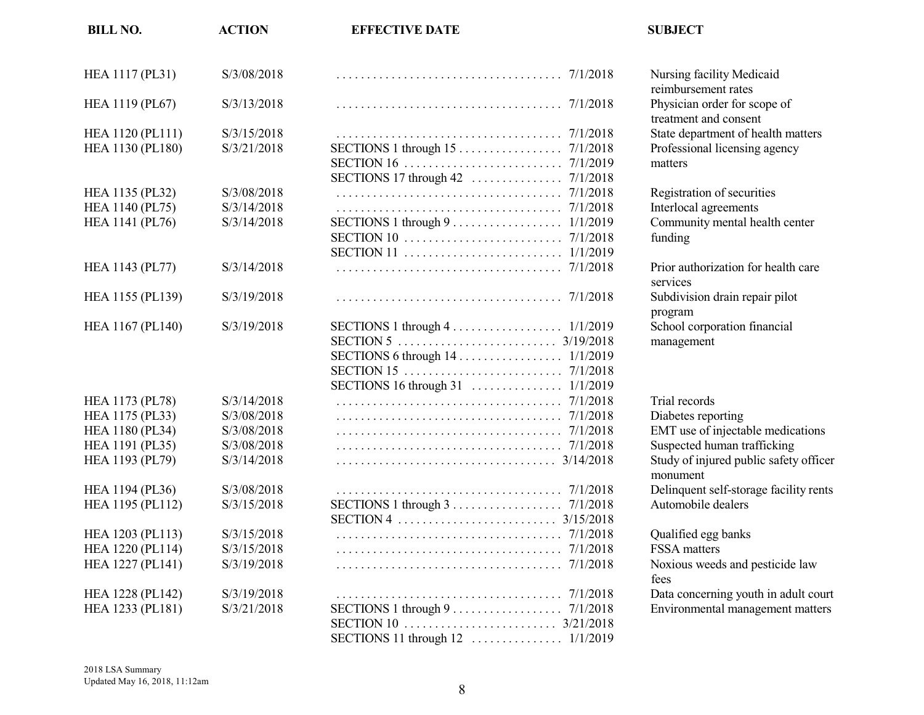| <b>BILL NO.</b>  | <b>ACTION</b> | <b>EFFECTIVE DATE</b>                                                                | <b>SUBJECT</b>                 |
|------------------|---------------|--------------------------------------------------------------------------------------|--------------------------------|
| HEA 1117 (PL31)  | S/3/08/2018   |                                                                                      | Nursing facili                 |
| HEA 1119 (PL67)  | S/3/13/2018   |                                                                                      | reimbursemen<br>Physician ord  |
| HEA 1120 (PL111) | S/3/15/2018   |                                                                                      | treatment and<br>State departm |
| HEA 1130 (PL180) | S/3/21/2018   |                                                                                      | Professional 1                 |
|                  |               |                                                                                      | matters                        |
|                  |               |                                                                                      |                                |
| HEA 1135 (PL32)  | S/3/08/2018   |                                                                                      | Registration o                 |
| HEA 1140 (PL75)  | S/3/14/2018   |                                                                                      | Interlocal agre                |
| HEA 1141 (PL76)  | S/3/14/2018   | SECTIONS $1$ through $9$<br>1/1/2019                                                 | Community n                    |
|                  |               | 7/1/2018                                                                             | funding                        |
|                  |               | SECTION 11 $\ldots \ldots \ldots \ldots \ldots \ldots \ldots \ldots \ldots 1/1/2019$ |                                |
| HEA 1143 (PL77)  | S/3/14/2018   |                                                                                      | Prior authoriz                 |
| HEA 1155 (PL139) | S/3/19/2018   |                                                                                      | services<br>Subdivision d      |
|                  |               |                                                                                      | program                        |
| HEA 1167 (PL140) | S/3/19/2018   | SECTIONS 1 through $4 \ldots \ldots \ldots \ldots \ldots 1/1/2019$                   | School corpor                  |
|                  |               |                                                                                      | management                     |
|                  |               | SECTIONS 6 through 14 1/1/2019                                                       |                                |
|                  |               |                                                                                      |                                |
|                  |               |                                                                                      |                                |
| HEA 1173 (PL78)  | S/3/14/2018   |                                                                                      | Trial records                  |
| HEA 1175 (PL33)  | S/3/08/2018   |                                                                                      | Diabetes repo                  |
| HEA 1180 (PL34)  | S/3/08/2018   |                                                                                      | EMT use of ir                  |
| HEA 1191 (PL35)  | S/3/08/2018   |                                                                                      | Suspected hui                  |
| HEA 1193 (PL79)  | S/3/14/2018   | 3/14/2018                                                                            | Study of injur<br>monument     |
| HEA 1194 (PL36)  | S/3/08/2018   | 7/1/2018                                                                             | Delinquent se                  |
| HEA 1195 (PL112) | S/3/15/2018   | SECTIONS 1 through $3 \ldots \ldots \ldots \ldots \ldots \ldots \ldots$ 7/1/2018     | Automobile d                   |
|                  |               |                                                                                      |                                |
| HEA 1203 (PL113) | S/3/15/2018   |                                                                                      | Qualified egg                  |
| HEA 1220 (PL114) | S/3/15/2018   |                                                                                      | FSSA matters                   |
| HEA 1227 (PL141) | S/3/19/2018   |                                                                                      | Noxious weed                   |
|                  |               |                                                                                      | fees                           |
| HEA 1228 (PL142) | S/3/19/2018   |                                                                                      | Data concerni                  |
| HEA 1233 (PL181) | S/3/21/2018   | SECTIONS 1 through $9 \ldots \ldots \ldots \ldots \ldots \ldots \ldots$ 7/1/2018     | Environmenta                   |
|                  |               |                                                                                      |                                |
|                  |               |                                                                                      |                                |

Nursing facility Medicaid reimbursement rates Physician order for scope of treatment and consent State department of health matters Professional licensing agency

Registration of securities Interlocal agreements Community mental health center funding

Prior authorization for health care services Subdivision drain repair pilot program School corporation financial management

Diabetes reporting EMT use of injectable medications Suspected human trafficking Study of injured public safety officer monument Delinquent self-storage facility rents Automobile dealers

Qualified egg banks Noxious weeds and pesticide law fees Data concerning youth in adult court Environmental management matters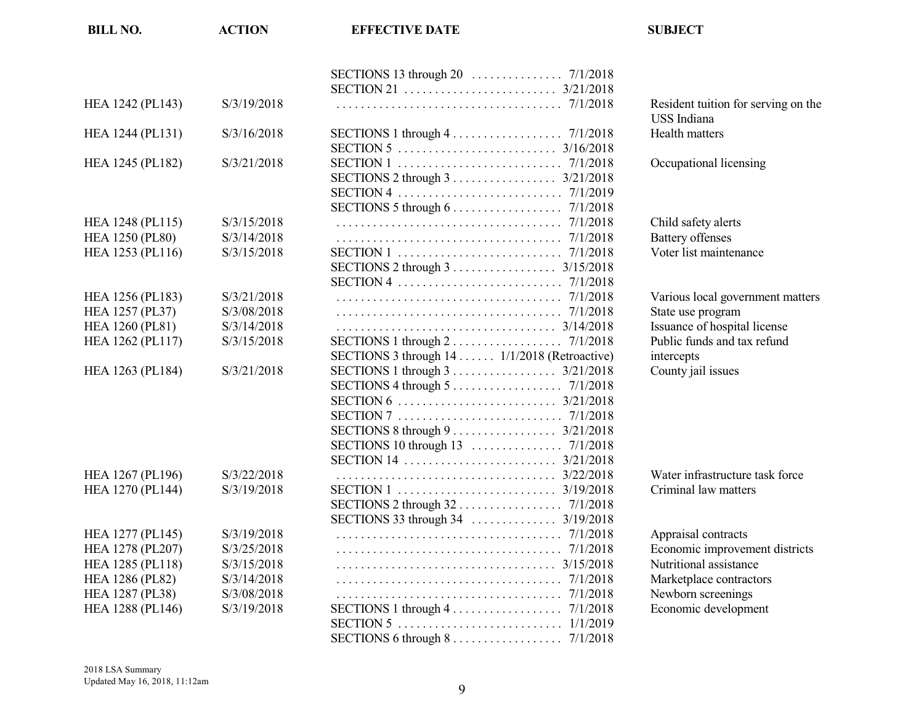| S/3/19/2018<br>Resident tuition for serving on the<br><b>USS</b> Indiana<br>S/3/16/2018<br>SECTIONS 1 through $4 \ldots \ldots \ldots \ldots \ldots$ 7/1/2018<br>Health matters<br>Occupational licensing<br>HEA 1245 (PL182)<br>S/3/21/2018<br>SECTIONS 2 through 3 3/21/2018<br>SECTIONS 5 through $6 \ldots \ldots \ldots \ldots \ldots$ 7/1/2018<br>S/3/15/2018<br>Child safety alerts<br>7/1/2018<br>S/3/14/2018<br><b>Battery offenses</b><br>Voter list maintenance<br>S/3/15/2018<br>SECTIONS 2 through $3 \ldots \ldots \ldots \ldots \ldots \ldots$ 3/15/2018<br>S/3/21/2018<br>Various local government matters<br><b>HEA 1257 (PL37)</b><br>State use program<br>S/3/08/2018<br>Issuance of hospital license<br><b>HEA 1260 (PL81)</b><br>S/3/14/2018<br>SECTIONS 1 through $2 \ldots \ldots \ldots \ldots \ldots \ldots$ 7/1/2018<br>Public funds and tax refund<br>HEA 1262 (PL117)<br>S/3/15/2018<br>SECTIONS 3 through 14  1/1/2018 (Retroactive)<br>intercepts<br>SECTIONS 1 through 3 3/21/2018<br>County jail issues<br>HEA 1263 (PL184)<br>S/3/21/2018<br>SECTIONS 4 through $5 \ldots \ldots \ldots \ldots \ldots \ldots \ldots$ 7/1/2018<br>SECTIONS 8 through 9 3/21/2018<br>Water infrastructure task force<br>HEA 1267 (PL196)<br>S/3/22/2018<br>3/22/2018<br>HEA 1270 (PL144)<br>S/3/19/2018<br>Criminal law matters<br>HEA 1277 (PL145)<br>S/3/19/2018<br>Appraisal contracts<br>HEA 1278 (PL207)<br>S/3/25/2018<br>Economic improvement districts<br>HEA 1285 (PL118)<br>S/3/15/2018<br>Nutritional assistance<br><b>HEA 1286 (PL82)</b><br>S/3/14/2018<br>Marketplace contractors<br>Newborn screenings<br><b>HEA 1287 (PL38)</b><br>S/3/08/2018 | <b>BILL NO.</b>        | <b>ACTION</b> | <b>EFFECTIVE DATE</b>                                                     | <b>SUBJECT</b>       |
|-------------------------------------------------------------------------------------------------------------------------------------------------------------------------------------------------------------------------------------------------------------------------------------------------------------------------------------------------------------------------------------------------------------------------------------------------------------------------------------------------------------------------------------------------------------------------------------------------------------------------------------------------------------------------------------------------------------------------------------------------------------------------------------------------------------------------------------------------------------------------------------------------------------------------------------------------------------------------------------------------------------------------------------------------------------------------------------------------------------------------------------------------------------------------------------------------------------------------------------------------------------------------------------------------------------------------------------------------------------------------------------------------------------------------------------------------------------------------------------------------------------------------------------------------------------------------------------------------------------------------------------------------------------------------------|------------------------|---------------|---------------------------------------------------------------------------|----------------------|
|                                                                                                                                                                                                                                                                                                                                                                                                                                                                                                                                                                                                                                                                                                                                                                                                                                                                                                                                                                                                                                                                                                                                                                                                                                                                                                                                                                                                                                                                                                                                                                                                                                                                               |                        |               |                                                                           |                      |
|                                                                                                                                                                                                                                                                                                                                                                                                                                                                                                                                                                                                                                                                                                                                                                                                                                                                                                                                                                                                                                                                                                                                                                                                                                                                                                                                                                                                                                                                                                                                                                                                                                                                               |                        |               |                                                                           |                      |
|                                                                                                                                                                                                                                                                                                                                                                                                                                                                                                                                                                                                                                                                                                                                                                                                                                                                                                                                                                                                                                                                                                                                                                                                                                                                                                                                                                                                                                                                                                                                                                                                                                                                               | HEA 1242 (PL143)       |               |                                                                           |                      |
|                                                                                                                                                                                                                                                                                                                                                                                                                                                                                                                                                                                                                                                                                                                                                                                                                                                                                                                                                                                                                                                                                                                                                                                                                                                                                                                                                                                                                                                                                                                                                                                                                                                                               | HEA 1244 (PL131)       |               |                                                                           |                      |
|                                                                                                                                                                                                                                                                                                                                                                                                                                                                                                                                                                                                                                                                                                                                                                                                                                                                                                                                                                                                                                                                                                                                                                                                                                                                                                                                                                                                                                                                                                                                                                                                                                                                               |                        |               |                                                                           |                      |
|                                                                                                                                                                                                                                                                                                                                                                                                                                                                                                                                                                                                                                                                                                                                                                                                                                                                                                                                                                                                                                                                                                                                                                                                                                                                                                                                                                                                                                                                                                                                                                                                                                                                               |                        |               |                                                                           |                      |
|                                                                                                                                                                                                                                                                                                                                                                                                                                                                                                                                                                                                                                                                                                                                                                                                                                                                                                                                                                                                                                                                                                                                                                                                                                                                                                                                                                                                                                                                                                                                                                                                                                                                               |                        |               |                                                                           |                      |
|                                                                                                                                                                                                                                                                                                                                                                                                                                                                                                                                                                                                                                                                                                                                                                                                                                                                                                                                                                                                                                                                                                                                                                                                                                                                                                                                                                                                                                                                                                                                                                                                                                                                               |                        |               |                                                                           |                      |
|                                                                                                                                                                                                                                                                                                                                                                                                                                                                                                                                                                                                                                                                                                                                                                                                                                                                                                                                                                                                                                                                                                                                                                                                                                                                                                                                                                                                                                                                                                                                                                                                                                                                               | HEA 1248 (PL115)       |               |                                                                           |                      |
|                                                                                                                                                                                                                                                                                                                                                                                                                                                                                                                                                                                                                                                                                                                                                                                                                                                                                                                                                                                                                                                                                                                                                                                                                                                                                                                                                                                                                                                                                                                                                                                                                                                                               | <b>HEA 1250 (PL80)</b> |               |                                                                           |                      |
|                                                                                                                                                                                                                                                                                                                                                                                                                                                                                                                                                                                                                                                                                                                                                                                                                                                                                                                                                                                                                                                                                                                                                                                                                                                                                                                                                                                                                                                                                                                                                                                                                                                                               | HEA 1253 (PL116)       |               |                                                                           |                      |
|                                                                                                                                                                                                                                                                                                                                                                                                                                                                                                                                                                                                                                                                                                                                                                                                                                                                                                                                                                                                                                                                                                                                                                                                                                                                                                                                                                                                                                                                                                                                                                                                                                                                               |                        |               |                                                                           |                      |
|                                                                                                                                                                                                                                                                                                                                                                                                                                                                                                                                                                                                                                                                                                                                                                                                                                                                                                                                                                                                                                                                                                                                                                                                                                                                                                                                                                                                                                                                                                                                                                                                                                                                               |                        |               |                                                                           |                      |
|                                                                                                                                                                                                                                                                                                                                                                                                                                                                                                                                                                                                                                                                                                                                                                                                                                                                                                                                                                                                                                                                                                                                                                                                                                                                                                                                                                                                                                                                                                                                                                                                                                                                               | HEA 1256 (PL183)       |               |                                                                           |                      |
|                                                                                                                                                                                                                                                                                                                                                                                                                                                                                                                                                                                                                                                                                                                                                                                                                                                                                                                                                                                                                                                                                                                                                                                                                                                                                                                                                                                                                                                                                                                                                                                                                                                                               |                        |               |                                                                           |                      |
|                                                                                                                                                                                                                                                                                                                                                                                                                                                                                                                                                                                                                                                                                                                                                                                                                                                                                                                                                                                                                                                                                                                                                                                                                                                                                                                                                                                                                                                                                                                                                                                                                                                                               |                        |               |                                                                           |                      |
|                                                                                                                                                                                                                                                                                                                                                                                                                                                                                                                                                                                                                                                                                                                                                                                                                                                                                                                                                                                                                                                                                                                                                                                                                                                                                                                                                                                                                                                                                                                                                                                                                                                                               |                        |               |                                                                           |                      |
|                                                                                                                                                                                                                                                                                                                                                                                                                                                                                                                                                                                                                                                                                                                                                                                                                                                                                                                                                                                                                                                                                                                                                                                                                                                                                                                                                                                                                                                                                                                                                                                                                                                                               |                        |               |                                                                           |                      |
|                                                                                                                                                                                                                                                                                                                                                                                                                                                                                                                                                                                                                                                                                                                                                                                                                                                                                                                                                                                                                                                                                                                                                                                                                                                                                                                                                                                                                                                                                                                                                                                                                                                                               |                        |               |                                                                           |                      |
|                                                                                                                                                                                                                                                                                                                                                                                                                                                                                                                                                                                                                                                                                                                                                                                                                                                                                                                                                                                                                                                                                                                                                                                                                                                                                                                                                                                                                                                                                                                                                                                                                                                                               |                        |               |                                                                           |                      |
|                                                                                                                                                                                                                                                                                                                                                                                                                                                                                                                                                                                                                                                                                                                                                                                                                                                                                                                                                                                                                                                                                                                                                                                                                                                                                                                                                                                                                                                                                                                                                                                                                                                                               |                        |               |                                                                           |                      |
|                                                                                                                                                                                                                                                                                                                                                                                                                                                                                                                                                                                                                                                                                                                                                                                                                                                                                                                                                                                                                                                                                                                                                                                                                                                                                                                                                                                                                                                                                                                                                                                                                                                                               |                        |               |                                                                           |                      |
|                                                                                                                                                                                                                                                                                                                                                                                                                                                                                                                                                                                                                                                                                                                                                                                                                                                                                                                                                                                                                                                                                                                                                                                                                                                                                                                                                                                                                                                                                                                                                                                                                                                                               |                        |               |                                                                           |                      |
|                                                                                                                                                                                                                                                                                                                                                                                                                                                                                                                                                                                                                                                                                                                                                                                                                                                                                                                                                                                                                                                                                                                                                                                                                                                                                                                                                                                                                                                                                                                                                                                                                                                                               |                        |               |                                                                           |                      |
|                                                                                                                                                                                                                                                                                                                                                                                                                                                                                                                                                                                                                                                                                                                                                                                                                                                                                                                                                                                                                                                                                                                                                                                                                                                                                                                                                                                                                                                                                                                                                                                                                                                                               |                        |               |                                                                           |                      |
|                                                                                                                                                                                                                                                                                                                                                                                                                                                                                                                                                                                                                                                                                                                                                                                                                                                                                                                                                                                                                                                                                                                                                                                                                                                                                                                                                                                                                                                                                                                                                                                                                                                                               |                        |               |                                                                           |                      |
|                                                                                                                                                                                                                                                                                                                                                                                                                                                                                                                                                                                                                                                                                                                                                                                                                                                                                                                                                                                                                                                                                                                                                                                                                                                                                                                                                                                                                                                                                                                                                                                                                                                                               |                        |               |                                                                           |                      |
|                                                                                                                                                                                                                                                                                                                                                                                                                                                                                                                                                                                                                                                                                                                                                                                                                                                                                                                                                                                                                                                                                                                                                                                                                                                                                                                                                                                                                                                                                                                                                                                                                                                                               |                        |               |                                                                           |                      |
|                                                                                                                                                                                                                                                                                                                                                                                                                                                                                                                                                                                                                                                                                                                                                                                                                                                                                                                                                                                                                                                                                                                                                                                                                                                                                                                                                                                                                                                                                                                                                                                                                                                                               |                        |               |                                                                           |                      |
|                                                                                                                                                                                                                                                                                                                                                                                                                                                                                                                                                                                                                                                                                                                                                                                                                                                                                                                                                                                                                                                                                                                                                                                                                                                                                                                                                                                                                                                                                                                                                                                                                                                                               |                        |               |                                                                           |                      |
|                                                                                                                                                                                                                                                                                                                                                                                                                                                                                                                                                                                                                                                                                                                                                                                                                                                                                                                                                                                                                                                                                                                                                                                                                                                                                                                                                                                                                                                                                                                                                                                                                                                                               |                        |               |                                                                           |                      |
|                                                                                                                                                                                                                                                                                                                                                                                                                                                                                                                                                                                                                                                                                                                                                                                                                                                                                                                                                                                                                                                                                                                                                                                                                                                                                                                                                                                                                                                                                                                                                                                                                                                                               |                        |               |                                                                           |                      |
|                                                                                                                                                                                                                                                                                                                                                                                                                                                                                                                                                                                                                                                                                                                                                                                                                                                                                                                                                                                                                                                                                                                                                                                                                                                                                                                                                                                                                                                                                                                                                                                                                                                                               |                        |               |                                                                           |                      |
|                                                                                                                                                                                                                                                                                                                                                                                                                                                                                                                                                                                                                                                                                                                                                                                                                                                                                                                                                                                                                                                                                                                                                                                                                                                                                                                                                                                                                                                                                                                                                                                                                                                                               | HEA 1288 (PL146)       | S/3/19/2018   | SECTIONS 1 through $4 \ldots \ldots \ldots \ldots \ldots \ldots$ 7/1/2018 | Economic development |
|                                                                                                                                                                                                                                                                                                                                                                                                                                                                                                                                                                                                                                                                                                                                                                                                                                                                                                                                                                                                                                                                                                                                                                                                                                                                                                                                                                                                                                                                                                                                                                                                                                                                               |                        |               |                                                                           |                      |
|                                                                                                                                                                                                                                                                                                                                                                                                                                                                                                                                                                                                                                                                                                                                                                                                                                                                                                                                                                                                                                                                                                                                                                                                                                                                                                                                                                                                                                                                                                                                                                                                                                                                               |                        |               |                                                                           |                      |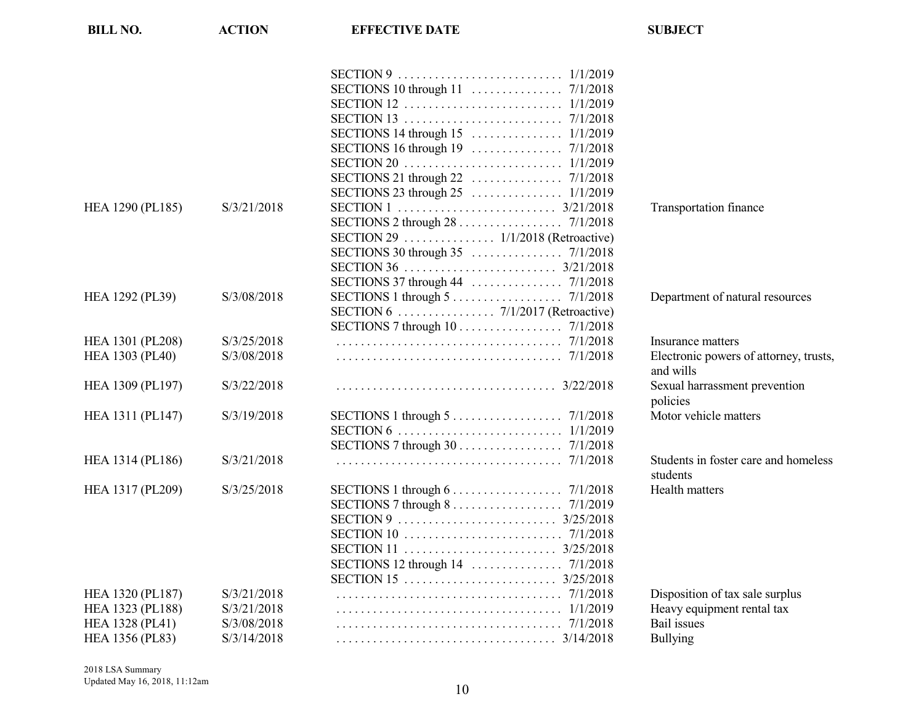| <b>BILL NO.</b>        | <b>ACTION</b> | <b>EFFECTIVE DATE</b>                                                            | <b>SUBJECT</b>                                      |
|------------------------|---------------|----------------------------------------------------------------------------------|-----------------------------------------------------|
|                        |               |                                                                                  |                                                     |
|                        |               |                                                                                  |                                                     |
|                        |               |                                                                                  |                                                     |
|                        |               |                                                                                  |                                                     |
|                        |               |                                                                                  |                                                     |
|                        |               |                                                                                  |                                                     |
|                        |               |                                                                                  |                                                     |
|                        |               |                                                                                  |                                                     |
|                        |               | SECTIONS 23 through $25$<br>1/1/2019                                             |                                                     |
| HEA 1290 (PL185)       | S/3/21/2018   |                                                                                  | Transportation finance                              |
|                        |               |                                                                                  |                                                     |
|                        |               |                                                                                  |                                                     |
|                        |               |                                                                                  |                                                     |
|                        |               |                                                                                  |                                                     |
|                        |               |                                                                                  |                                                     |
| HEA 1292 (PL39)        | S/3/08/2018   | SECTIONS 1 through $5 \ldots \ldots \ldots \ldots \ldots \ldots \ldots$ 7/1/2018 | Department of natural resources                     |
|                        |               |                                                                                  |                                                     |
|                        |               | SECTIONS 7 through 10 7/1/2018                                                   |                                                     |
| HEA 1301 (PL208)       | S/3/25/2018   |                                                                                  | Insurance matters                                   |
| <b>HEA 1303 (PL40)</b> | S/3/08/2018   |                                                                                  | Electronic powers of attorney, trusts,<br>and wills |
| HEA 1309 (PL197)       | S/3/22/2018   |                                                                                  | Sexual harrassment prevention<br>policies           |
| HEA 1311 (PL147)       | S/3/19/2018   | SECTIONS 1 through $5 \ldots \ldots \ldots \ldots \ldots \ldots \ldots$ 7/1/2018 | Motor vehicle matters                               |
|                        |               | $SECTION 6 \ldots \ldots \ldots \ldots \ldots \ldots \ldots$<br>1/1/2019         |                                                     |
|                        |               |                                                                                  |                                                     |
| HEA 1314 (PL186)       | S/3/21/2018   |                                                                                  | Students in foster care and homeless<br>students    |
| HEA 1317 (PL209)       | S/3/25/2018   | SECTIONS 1 through $6 \ldots \ldots \ldots \ldots \ldots \ldots$ 7/1/2018        | Health matters                                      |
|                        |               | SECTIONS 7 through $8 \ldots \ldots \ldots \ldots \ldots \ldots$ 7/1/2019        |                                                     |
|                        |               |                                                                                  |                                                     |
|                        |               |                                                                                  |                                                     |
|                        |               |                                                                                  |                                                     |
|                        |               | SECTIONS 12 through $14$<br>7/1/2018                                             |                                                     |
|                        |               |                                                                                  |                                                     |
| HEA 1320 (PL187)       | S/3/21/2018   |                                                                                  | Disposition of tax sale surplus                     |
| HEA 1323 (PL188)       | S/3/21/2018   |                                                                                  | Heavy equipment rental tax                          |
| HEA 1328 (PL41)        | S/3/08/2018   |                                                                                  | Bail issues                                         |
| HEA 1356 (PL83)        | S/3/14/2018   |                                                                                  | Bullying                                            |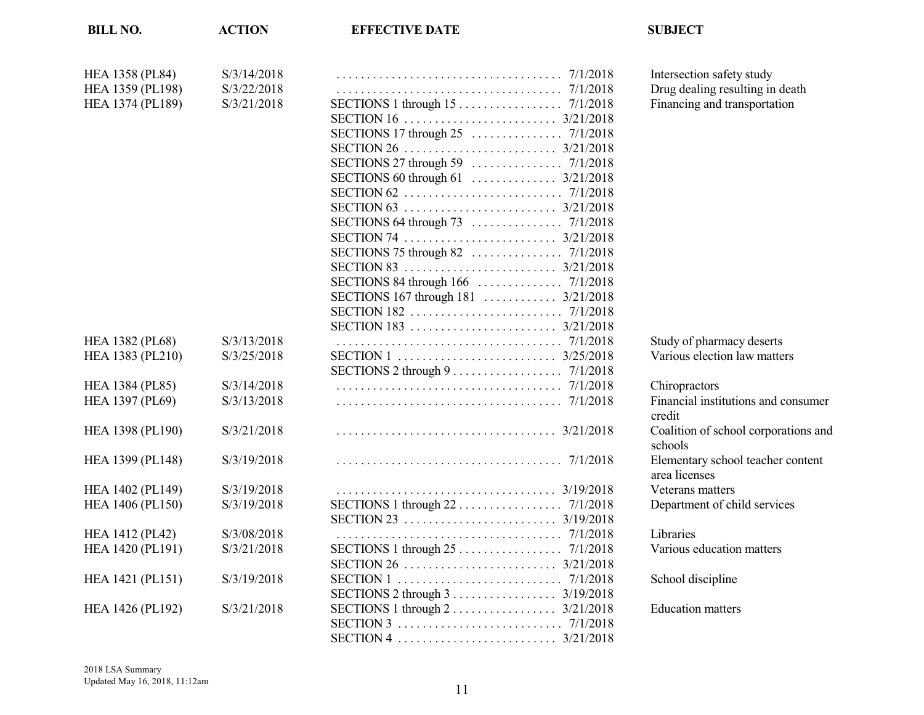| <b>BILL NO.</b>        | <b>ACTION</b> | <b>EFFECTIVE DATE</b>                                                      | <b>SUBJECT</b>                       |
|------------------------|---------------|----------------------------------------------------------------------------|--------------------------------------|
| <b>HEA 1358 (PL84)</b> | S/3/14/2018   |                                                                            | Intersection safety study            |
| HEA 1359 (PL198)       | S/3/22/2018   |                                                                            | Drug dealing resulting in death      |
| HEA 1374 (PL189)       | S/3/21/2018   |                                                                            | Financing and transportation         |
|                        |               |                                                                            |                                      |
|                        |               |                                                                            |                                      |
|                        |               |                                                                            |                                      |
|                        |               |                                                                            |                                      |
|                        |               | SECTIONS 60 through 61 $\ldots$ $3/21/2018$                                |                                      |
|                        |               |                                                                            |                                      |
|                        |               |                                                                            |                                      |
|                        |               |                                                                            |                                      |
|                        |               |                                                                            |                                      |
|                        |               |                                                                            |                                      |
|                        |               |                                                                            |                                      |
|                        |               |                                                                            |                                      |
|                        |               | SECTIONS 167 through 181  3/21/2018                                        |                                      |
|                        |               |                                                                            |                                      |
|                        |               |                                                                            |                                      |
| <b>HEA 1382 (PL68)</b> | S/3/13/2018   |                                                                            | Study of pharmacy deserts            |
| HEA 1383 (PL210)       | S/3/25/2018   |                                                                            | Various election law matters         |
|                        |               | SECTIONS 2 through $9 \ldots \ldots \ldots \ldots \ldots \ldots$ 7/1/2018  |                                      |
| <b>HEA 1384 (PL85)</b> | S/3/14/2018   |                                                                            | Chiropractors                        |
| HEA 1397 (PL69)        | S/3/13/2018   |                                                                            | Financial institutions and consumer  |
|                        |               |                                                                            | credit                               |
| HEA 1398 (PL190)       | S/3/21/2018   |                                                                            | Coalition of school corporations and |
|                        |               |                                                                            | schools                              |
| HEA 1399 (PL148)       | S/3/19/2018   |                                                                            | Elementary school teacher content    |
|                        |               |                                                                            | area licenses                        |
| HEA 1402 (PL149)       | S/3/19/2018   |                                                                            | Veterans matters                     |
| HEA 1406 (PL150)       | S/3/19/2018   |                                                                            | Department of child services         |
|                        |               |                                                                            |                                      |
| <b>HEA 1412 (PL42)</b> | S/3/08/2018   |                                                                            | Libraries                            |
| HEA 1420 (PL191)       | S/3/21/2018   |                                                                            | Various education matters            |
|                        |               |                                                                            |                                      |
| HEA 1421 (PL151)       | S/3/19/2018   |                                                                            | School discipline                    |
|                        |               | SECTIONS 2 through $3 \ldots \ldots \ldots \ldots \ldots \ldots$ 3/19/2018 |                                      |
| HEA 1426 (PL192)       | S/3/21/2018   |                                                                            | <b>Education matters</b>             |
|                        |               |                                                                            |                                      |
|                        |               |                                                                            |                                      |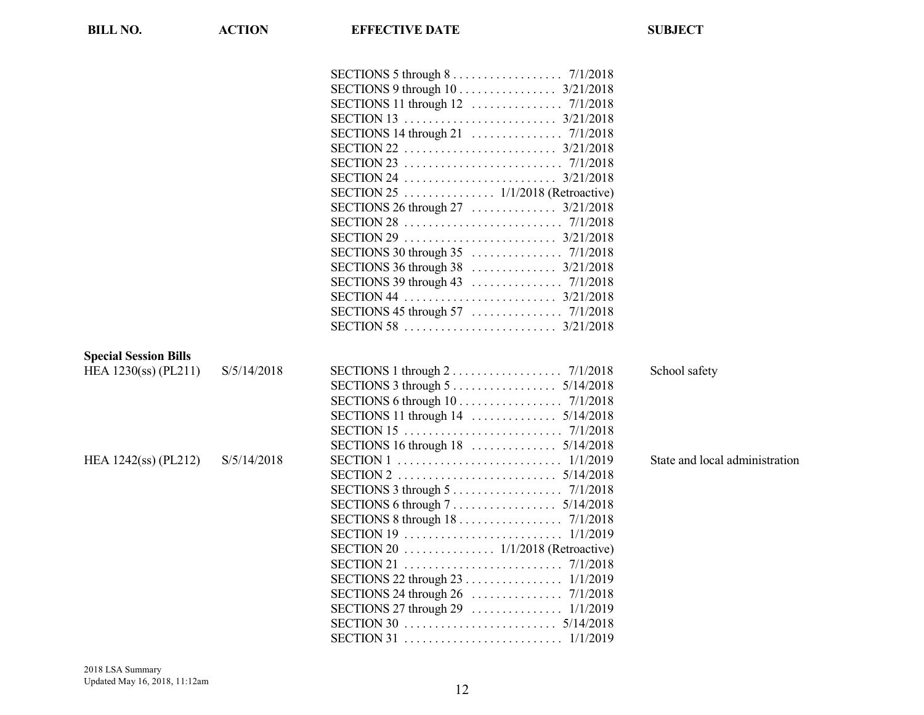| <b>BILL NO.</b>              | <b>ACTION</b> | <b>EFFECTIVE DATE</b>                                                            | <b>SUBJECT</b>                 |
|------------------------------|---------------|----------------------------------------------------------------------------------|--------------------------------|
|                              |               | SECTIONS 5 through $8 \ldots \ldots \ldots \ldots \ldots \ldots$ 7/1/2018        |                                |
|                              |               |                                                                                  |                                |
|                              |               |                                                                                  |                                |
|                              |               |                                                                                  |                                |
|                              |               |                                                                                  |                                |
|                              |               |                                                                                  |                                |
|                              |               |                                                                                  |                                |
|                              |               |                                                                                  |                                |
|                              |               |                                                                                  |                                |
|                              |               |                                                                                  |                                |
|                              |               |                                                                                  |                                |
|                              |               |                                                                                  |                                |
|                              |               |                                                                                  |                                |
|                              |               |                                                                                  |                                |
|                              |               |                                                                                  |                                |
|                              |               |                                                                                  |                                |
|                              |               |                                                                                  |                                |
|                              |               |                                                                                  |                                |
| <b>Special Session Bills</b> |               |                                                                                  |                                |
| HEA 1230(ss) (PL211)         | S/5/14/2018   | SECTIONS 1 through $2 \ldots \ldots \ldots \ldots \ldots \ldots$ 7/1/2018        | School safety                  |
|                              |               | SECTIONS 3 through $5 \ldots \ldots \ldots \ldots \ldots \ldots 5/14/2018$       |                                |
|                              |               |                                                                                  |                                |
|                              |               |                                                                                  |                                |
|                              |               |                                                                                  |                                |
|                              |               |                                                                                  |                                |
| HEA 1242(ss) (PL212)         | S/5/14/2018   |                                                                                  | State and local administration |
|                              |               |                                                                                  |                                |
|                              |               | SECTIONS 3 through $5 \ldots \ldots \ldots \ldots \ldots \ldots \ldots$ 7/1/2018 |                                |
|                              |               |                                                                                  |                                |
|                              |               | SECTIONS 8 through 18 7/1/2018                                                   |                                |
|                              |               |                                                                                  |                                |
|                              |               | SECTION 20 1/1/2018 (Retroactive)                                                |                                |
|                              |               |                                                                                  |                                |
|                              |               |                                                                                  |                                |
|                              |               |                                                                                  |                                |
|                              |               |                                                                                  |                                |
|                              |               |                                                                                  |                                |
|                              |               |                                                                                  |                                |